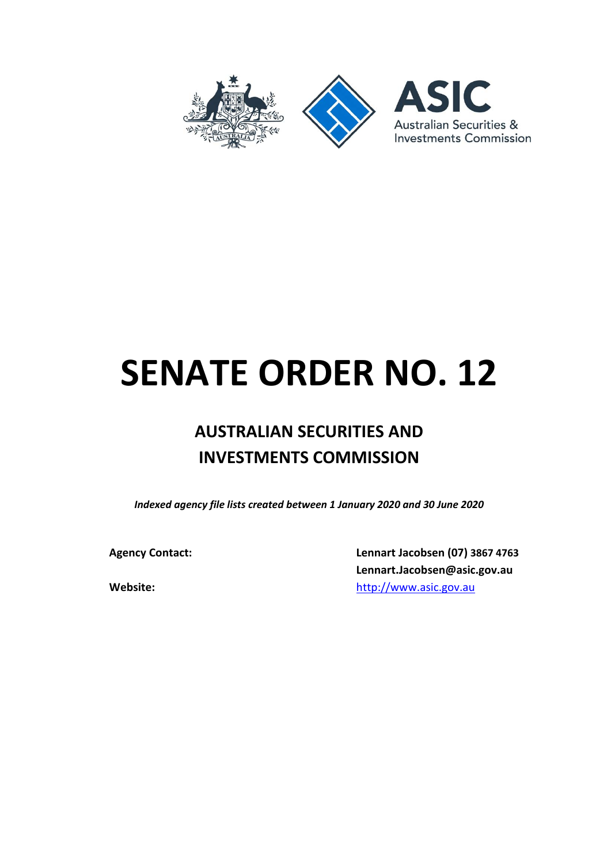

# **SENATE ORDER NO. 12**

# **AUSTRALIAN SECURITIES AND INVESTMENTS COMMISSION**

*Indexed agency file lists created between 1 January 2020 and 30 June 2020*

**Agency Contact: Lennart Jacobsen (07) 3867 4763 Lennart.Jacobsen@asic.gov.au Website:** [http://www.asic.gov.au](http://www.asic.gov.au/)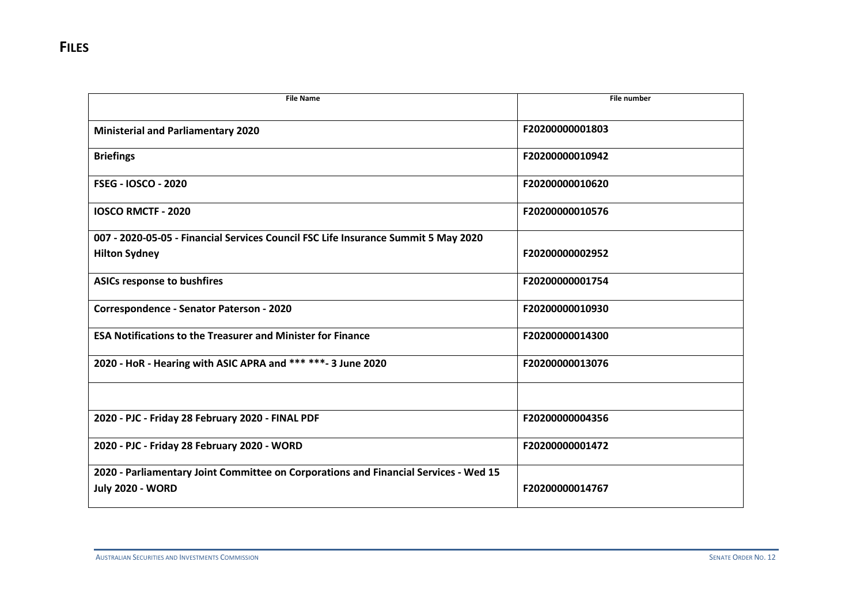| <b>File Name</b>                                                                                                | <b>File number</b> |
|-----------------------------------------------------------------------------------------------------------------|--------------------|
| <b>Ministerial and Parliamentary 2020</b>                                                                       | F20200000001803    |
| <b>Briefings</b>                                                                                                | F20200000010942    |
| <b>FSEG - IOSCO - 2020</b>                                                                                      | F20200000010620    |
| <b>IOSCO RMCTF - 2020</b>                                                                                       | F20200000010576    |
| 007 - 2020-05-05 - Financial Services Council FSC Life Insurance Summit 5 May 2020                              |                    |
| <b>Hilton Sydney</b>                                                                                            | F20200000002952    |
| <b>ASICs response to bushfires</b>                                                                              | F20200000001754    |
| Correspondence - Senator Paterson - 2020                                                                        | F20200000010930    |
| <b>ESA Notifications to the Treasurer and Minister for Finance</b>                                              | F20200000014300    |
| 2020 - HoR - Hearing with ASIC APRA and *** ***- 3 June 2020                                                    | F20200000013076    |
|                                                                                                                 |                    |
| 2020 - PJC - Friday 28 February 2020 - FINAL PDF                                                                | F20200000004356    |
| 2020 - PJC - Friday 28 February 2020 - WORD                                                                     | F20200000001472    |
| 2020 - Parliamentary Joint Committee on Corporations and Financial Services - Wed 15<br><b>July 2020 - WORD</b> | F20200000014767    |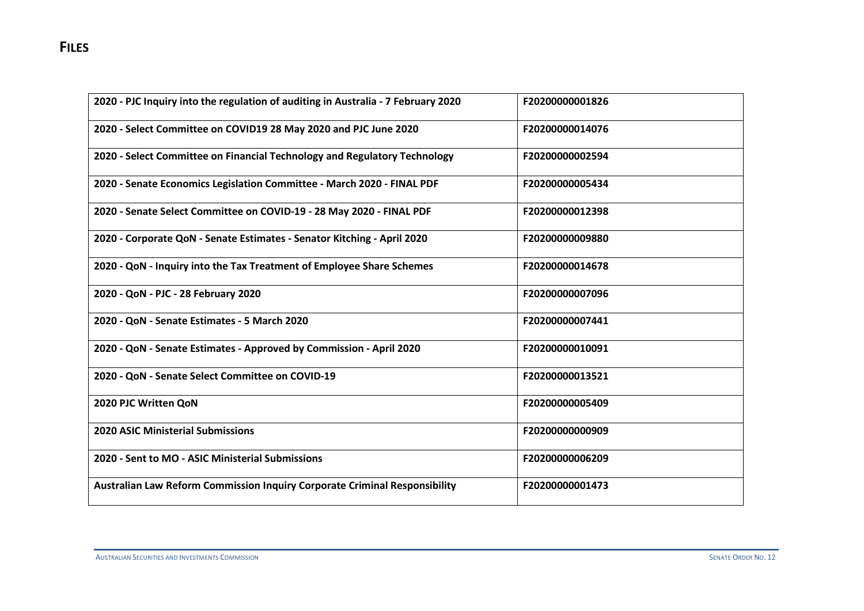| 2020 - PJC Inquiry into the regulation of auditing in Australia - 7 February 2020 | F20200000001826 |
|-----------------------------------------------------------------------------------|-----------------|
| 2020 - Select Committee on COVID19 28 May 2020 and PJC June 2020                  | F20200000014076 |
| 2020 - Select Committee on Financial Technology and Regulatory Technology         | F20200000002594 |
| 2020 - Senate Economics Legislation Committee - March 2020 - FINAL PDF            | F20200000005434 |
| 2020 - Senate Select Committee on COVID-19 - 28 May 2020 - FINAL PDF              | F20200000012398 |
| 2020 - Corporate QoN - Senate Estimates - Senator Kitching - April 2020           | F20200000009880 |
| 2020 - QoN - Inquiry into the Tax Treatment of Employee Share Schemes             | F20200000014678 |
| 2020 - QoN - PJC - 28 February 2020                                               | F20200000007096 |
| 2020 - QoN - Senate Estimates - 5 March 2020                                      | F20200000007441 |
| 2020 - QoN - Senate Estimates - Approved by Commission - April 2020               | F20200000010091 |
| 2020 - QoN - Senate Select Committee on COVID-19                                  | F20200000013521 |
| 2020 PJC Written QoN                                                              | F20200000005409 |
| <b>2020 ASIC Ministerial Submissions</b>                                          | F20200000000909 |
| 2020 - Sent to MO - ASIC Ministerial Submissions                                  | F20200000006209 |
| Australian Law Reform Commission Inquiry Corporate Criminal Responsibility        | F20200000001473 |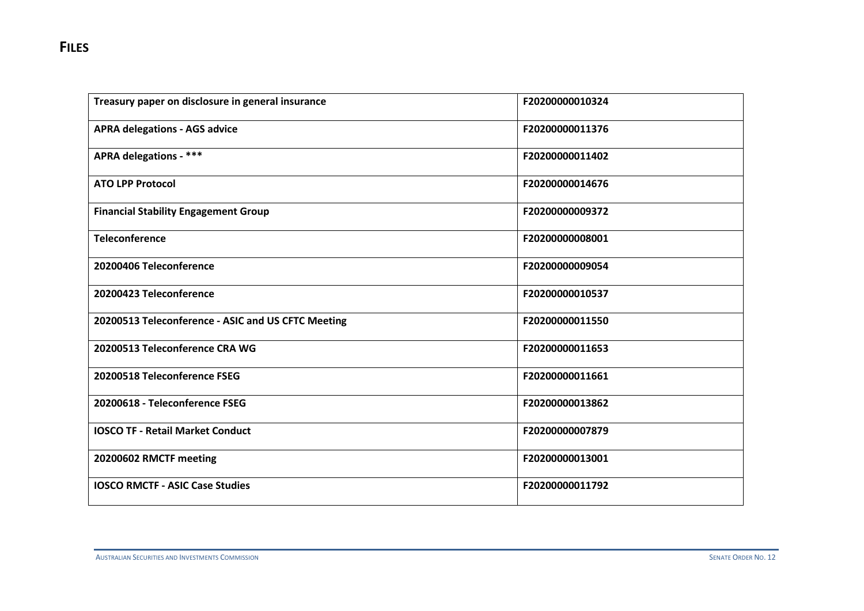| Treasury paper on disclosure in general insurance  | F20200000010324 |
|----------------------------------------------------|-----------------|
| <b>APRA delegations - AGS advice</b>               | F20200000011376 |
| <b>APRA delegations - ***</b>                      | F20200000011402 |
| <b>ATO LPP Protocol</b>                            | F20200000014676 |
| <b>Financial Stability Engagement Group</b>        | F20200000009372 |
| <b>Teleconference</b>                              | F20200000008001 |
| 20200406 Teleconference                            | F20200000009054 |
| 20200423 Teleconference                            | F20200000010537 |
| 20200513 Teleconference - ASIC and US CFTC Meeting | F20200000011550 |
| 20200513 Teleconference CRA WG                     | F20200000011653 |
| 20200518 Teleconference FSEG                       | F20200000011661 |
| 20200618 - Teleconference FSEG                     | F20200000013862 |
| <b>IOSCO TF - Retail Market Conduct</b>            | F20200000007879 |
| 20200602 RMCTF meeting                             | F20200000013001 |
| <b>IOSCO RMCTF - ASIC Case Studies</b>             | F20200000011792 |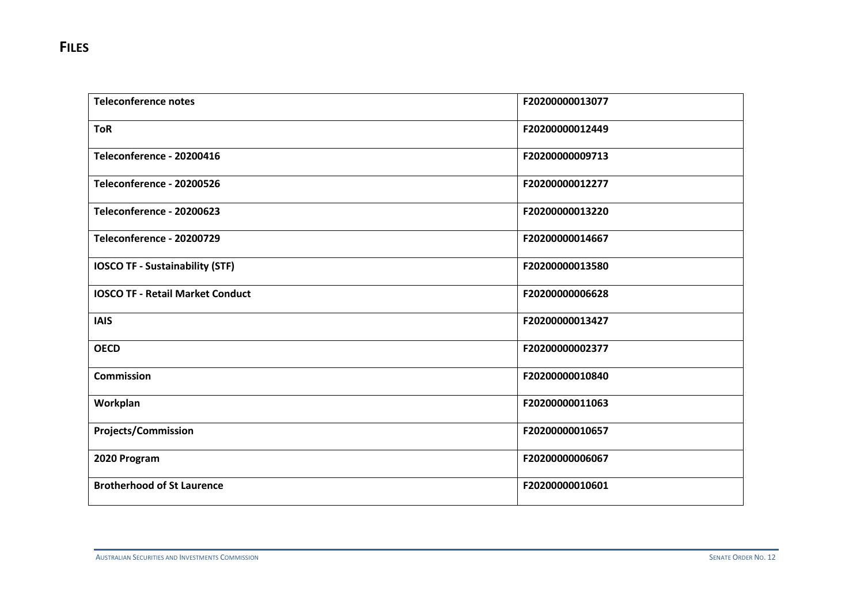| <b>Teleconference notes</b>             | F20200000013077 |
|-----------------------------------------|-----------------|
| <b>ToR</b>                              | F20200000012449 |
| Teleconference - 20200416               | F20200000009713 |
| Teleconference - 20200526               | F20200000012277 |
| Teleconference - 20200623               | F20200000013220 |
| Teleconference - 20200729               | F20200000014667 |
| <b>IOSCO TF - Sustainability (STF)</b>  | F20200000013580 |
| <b>IOSCO TF - Retail Market Conduct</b> | F20200000006628 |
| <b>IAIS</b>                             | F20200000013427 |
| <b>OECD</b>                             | F20200000002377 |
| <b>Commission</b>                       | F20200000010840 |
| Workplan                                | F20200000011063 |
| <b>Projects/Commission</b>              | F20200000010657 |
| 2020 Program                            | F20200000006067 |
| <b>Brotherhood of St Laurence</b>       | F20200000010601 |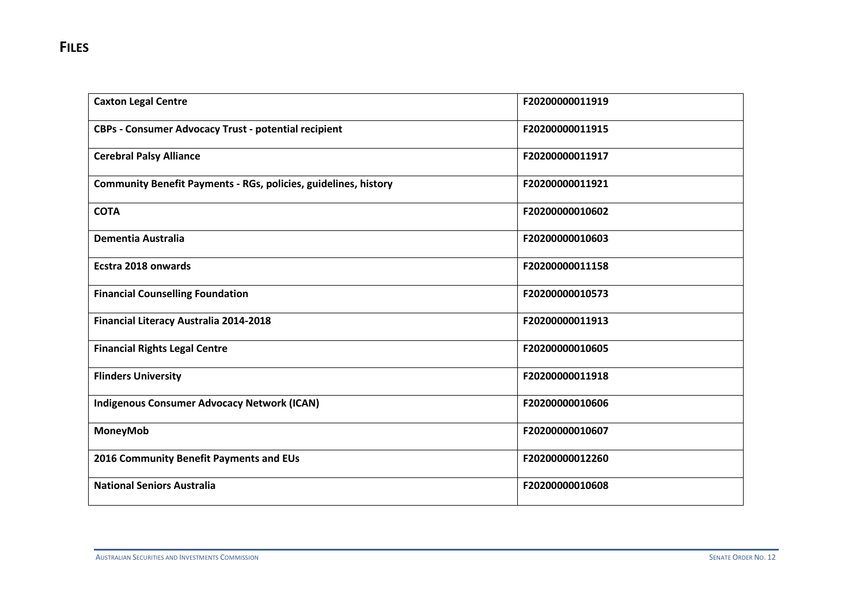| <b>Caxton Legal Centre</b>                                             | F20200000011919 |
|------------------------------------------------------------------------|-----------------|
| CBPs - Consumer Advocacy Trust - potential recipient                   | F20200000011915 |
| <b>Cerebral Palsy Alliance</b>                                         | F20200000011917 |
| <b>Community Benefit Payments - RGs, policies, guidelines, history</b> | F20200000011921 |
| <b>COTA</b>                                                            | F20200000010602 |
| <b>Dementia Australia</b>                                              | F20200000010603 |
| Ecstra 2018 onwards                                                    | F20200000011158 |
| <b>Financial Counselling Foundation</b>                                | F20200000010573 |
| Financial Literacy Australia 2014-2018                                 | F20200000011913 |
| <b>Financial Rights Legal Centre</b>                                   | F20200000010605 |
| <b>Flinders University</b>                                             | F20200000011918 |
| <b>Indigenous Consumer Advocacy Network (ICAN)</b>                     | F20200000010606 |
| <b>MoneyMob</b>                                                        | F20200000010607 |
| 2016 Community Benefit Payments and EUs                                | F20200000012260 |
| <b>National Seniors Australia</b>                                      | F20200000010608 |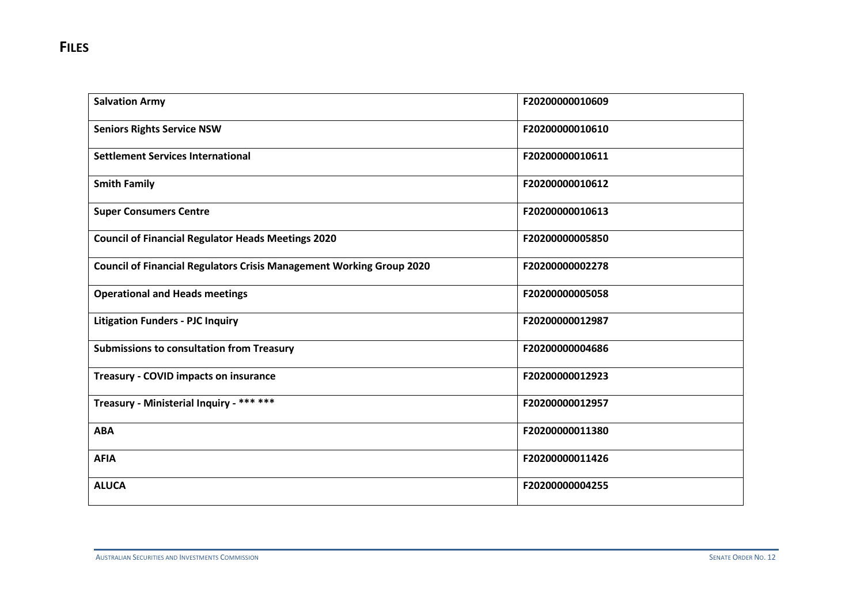| <b>Salvation Army</b>                                                       | F20200000010609 |
|-----------------------------------------------------------------------------|-----------------|
| <b>Seniors Rights Service NSW</b>                                           | F20200000010610 |
| <b>Settlement Services International</b>                                    | F20200000010611 |
| <b>Smith Family</b>                                                         | F20200000010612 |
| <b>Super Consumers Centre</b>                                               | F20200000010613 |
| <b>Council of Financial Regulator Heads Meetings 2020</b>                   | F20200000005850 |
| <b>Council of Financial Regulators Crisis Management Working Group 2020</b> | F20200000002278 |
| <b>Operational and Heads meetings</b>                                       | F20200000005058 |
| <b>Litigation Funders - PJC Inquiry</b>                                     | F20200000012987 |
| <b>Submissions to consultation from Treasury</b>                            | F20200000004686 |
| <b>Treasury - COVID impacts on insurance</b>                                | F20200000012923 |
| Treasury - Ministerial Inquiry - *** ***                                    | F20200000012957 |
| <b>ABA</b>                                                                  | F20200000011380 |
| <b>AFIA</b>                                                                 | F20200000011426 |
| <b>ALUCA</b>                                                                | F20200000004255 |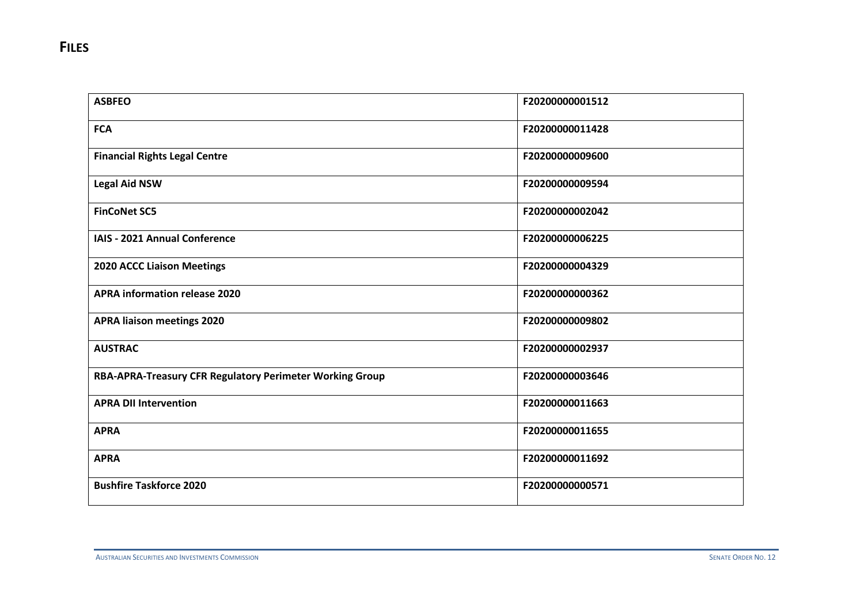| <b>ASBFEO</b>                                            | F20200000001512 |
|----------------------------------------------------------|-----------------|
| <b>FCA</b>                                               | F20200000011428 |
| <b>Financial Rights Legal Centre</b>                     | F20200000009600 |
| <b>Legal Aid NSW</b>                                     | F20200000009594 |
| <b>FinCoNet SC5</b>                                      | F20200000002042 |
| IAIS - 2021 Annual Conference                            | F20200000006225 |
| <b>2020 ACCC Liaison Meetings</b>                        | F20200000004329 |
| <b>APRA information release 2020</b>                     | F20200000000362 |
| <b>APRA liaison meetings 2020</b>                        | F20200000009802 |
| <b>AUSTRAC</b>                                           | F20200000002937 |
| RBA-APRA-Treasury CFR Regulatory Perimeter Working Group | F20200000003646 |
| <b>APRA DII Intervention</b>                             | F20200000011663 |
| <b>APRA</b>                                              | F20200000011655 |
| <b>APRA</b>                                              | F20200000011692 |
| <b>Bushfire Taskforce 2020</b>                           | F20200000000571 |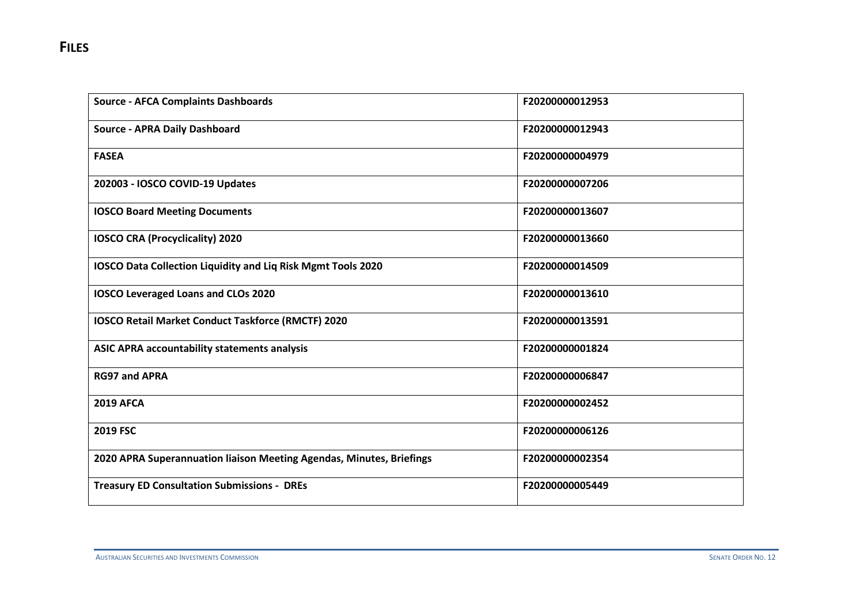| <b>Source - AFCA Complaints Dashboards</b>                           | F20200000012953 |
|----------------------------------------------------------------------|-----------------|
| <b>Source - APRA Daily Dashboard</b>                                 | F20200000012943 |
| <b>FASEA</b>                                                         | F20200000004979 |
| 202003 - IOSCO COVID-19 Updates                                      | F20200000007206 |
| <b>IOSCO Board Meeting Documents</b>                                 | F20200000013607 |
| <b>IOSCO CRA (Procyclicality) 2020</b>                               | F20200000013660 |
| IOSCO Data Collection Liquidity and Liq Risk Mgmt Tools 2020         | F20200000014509 |
| IOSCO Leveraged Loans and CLOs 2020                                  | F20200000013610 |
| <b>IOSCO Retail Market Conduct Taskforce (RMCTF) 2020</b>            | F20200000013591 |
| ASIC APRA accountability statements analysis                         | F20200000001824 |
| <b>RG97 and APRA</b>                                                 | F20200000006847 |
| <b>2019 AFCA</b>                                                     | F20200000002452 |
| 2019 FSC                                                             | F20200000006126 |
| 2020 APRA Superannuation liaison Meeting Agendas, Minutes, Briefings | F20200000002354 |
| <b>Treasury ED Consultation Submissions - DREs</b>                   | F20200000005449 |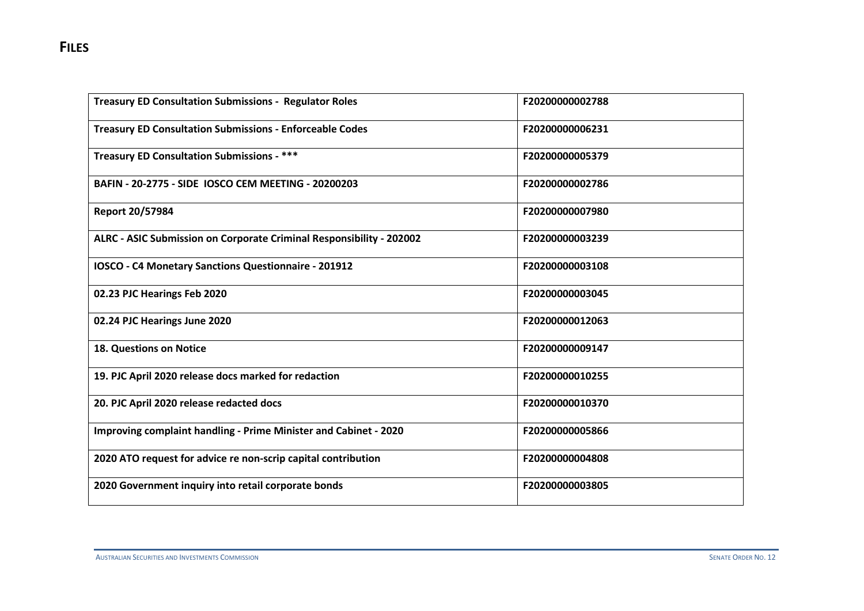| <b>Treasury ED Consultation Submissions - Regulator Roles</b>           | F20200000002788 |
|-------------------------------------------------------------------------|-----------------|
| <b>Treasury ED Consultation Submissions - Enforceable Codes</b>         | F20200000006231 |
| <b>Treasury ED Consultation Submissions - ***</b>                       | F20200000005379 |
| BAFIN - 20-2775 - SIDE IOSCO CEM MEETING - 20200203                     | F20200000002786 |
| <b>Report 20/57984</b>                                                  | F20200000007980 |
| ALRC - ASIC Submission on Corporate Criminal Responsibility - 202002    | F20200000003239 |
| IOSCO - C4 Monetary Sanctions Questionnaire - 201912                    | F20200000003108 |
| 02.23 PJC Hearings Feb 2020                                             | F20200000003045 |
| 02.24 PJC Hearings June 2020                                            | F20200000012063 |
| <b>18. Questions on Notice</b>                                          | F20200000009147 |
| 19. PJC April 2020 release docs marked for redaction                    | F20200000010255 |
| 20. PJC April 2020 release redacted docs                                | F20200000010370 |
| <b>Improving complaint handling - Prime Minister and Cabinet - 2020</b> | F20200000005866 |
| 2020 ATO request for advice re non-scrip capital contribution           | F20200000004808 |
| 2020 Government inquiry into retail corporate bonds                     | F20200000003805 |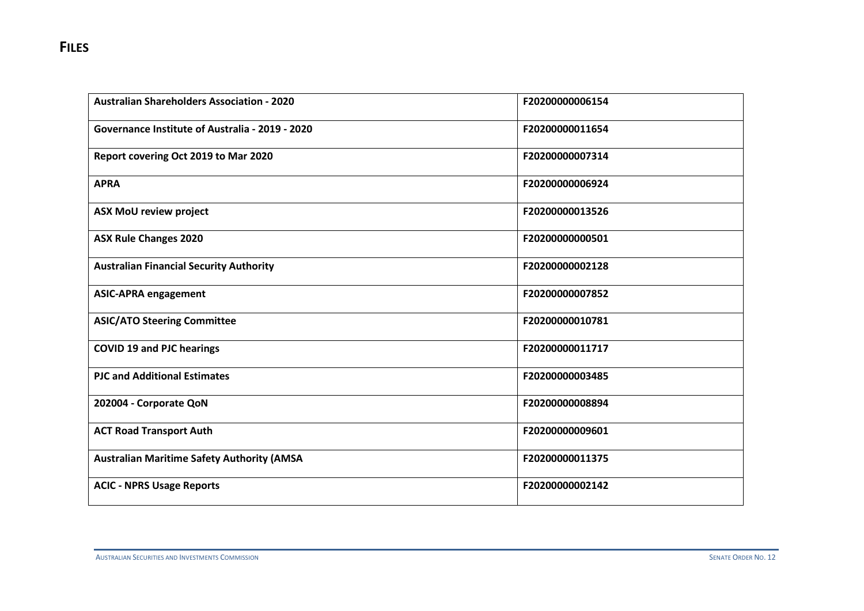| <b>Australian Shareholders Association - 2020</b> | F20200000006154 |
|---------------------------------------------------|-----------------|
| Governance Institute of Australia - 2019 - 2020   | F20200000011654 |
| Report covering Oct 2019 to Mar 2020              | F20200000007314 |
| <b>APRA</b>                                       | F20200000006924 |
| <b>ASX MoU review project</b>                     | F20200000013526 |
| <b>ASX Rule Changes 2020</b>                      | F20200000000501 |
| <b>Australian Financial Security Authority</b>    | F20200000002128 |
| <b>ASIC-APRA engagement</b>                       | F20200000007852 |
| <b>ASIC/ATO Steering Committee</b>                | F20200000010781 |
| <b>COVID 19 and PJC hearings</b>                  | F20200000011717 |
| <b>PJC and Additional Estimates</b>               | F20200000003485 |
| 202004 - Corporate QoN                            | F20200000008894 |
| <b>ACT Road Transport Auth</b>                    | F20200000009601 |
| <b>Australian Maritime Safety Authority (AMSA</b> | F20200000011375 |
| <b>ACIC - NPRS Usage Reports</b>                  | F20200000002142 |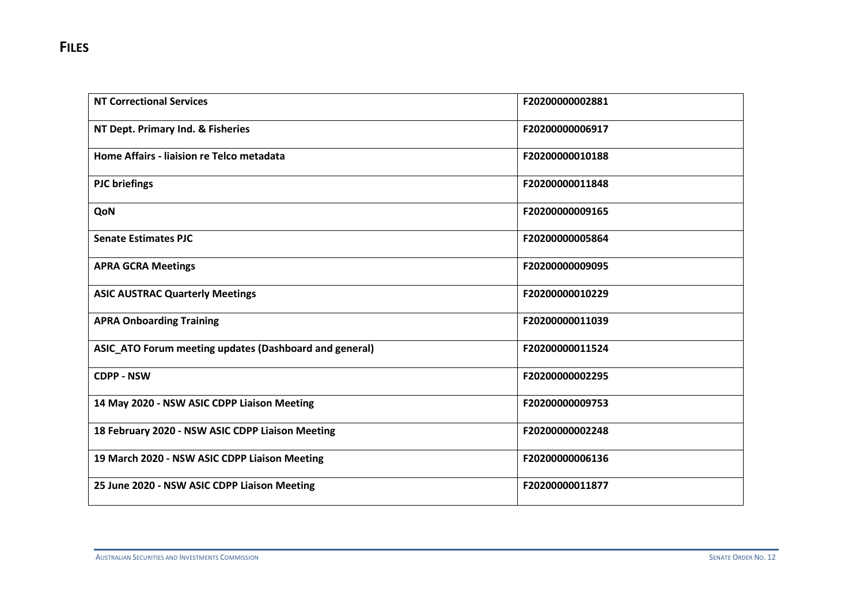| <b>NT Correctional Services</b>                        | F20200000002881 |
|--------------------------------------------------------|-----------------|
| NT Dept. Primary Ind. & Fisheries                      | F20200000006917 |
| Home Affairs - liaision re Telco metadata              | F20200000010188 |
| <b>PJC</b> briefings                                   | F20200000011848 |
| QoN                                                    | F20200000009165 |
| <b>Senate Estimates PJC</b>                            | F20200000005864 |
| <b>APRA GCRA Meetings</b>                              | F20200000009095 |
| <b>ASIC AUSTRAC Quarterly Meetings</b>                 | F20200000010229 |
| <b>APRA Onboarding Training</b>                        | F20200000011039 |
| ASIC_ATO Forum meeting updates (Dashboard and general) | F20200000011524 |
| <b>CDPP - NSW</b>                                      | F20200000002295 |
| 14 May 2020 - NSW ASIC CDPP Liaison Meeting            | F20200000009753 |
| 18 February 2020 - NSW ASIC CDPP Liaison Meeting       | F20200000002248 |
| 19 March 2020 - NSW ASIC CDPP Liaison Meeting          | F20200000006136 |
| 25 June 2020 - NSW ASIC CDPP Liaison Meeting           | F20200000011877 |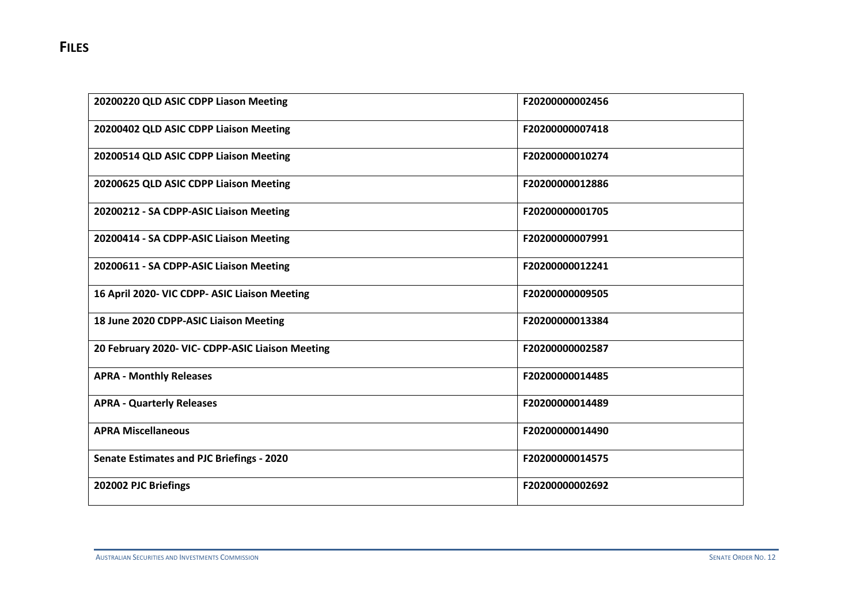| 20200220 QLD ASIC CDPP Liason Meeting            | F20200000002456 |
|--------------------------------------------------|-----------------|
| 20200402 QLD ASIC CDPP Liaison Meeting           | F20200000007418 |
| 20200514 QLD ASIC CDPP Liaison Meeting           | F20200000010274 |
| 20200625 QLD ASIC CDPP Liaison Meeting           | F20200000012886 |
| 20200212 - SA CDPP-ASIC Liaison Meeting          | F20200000001705 |
| 20200414 - SA CDPP-ASIC Liaison Meeting          | F20200000007991 |
| 20200611 - SA CDPP-ASIC Liaison Meeting          | F20200000012241 |
| 16 April 2020- VIC CDPP- ASIC Liaison Meeting    | F20200000009505 |
| 18 June 2020 CDPP-ASIC Liaison Meeting           | F20200000013384 |
| 20 February 2020- VIC- CDPP-ASIC Liaison Meeting | F20200000002587 |
| <b>APRA - Monthly Releases</b>                   | F20200000014485 |
| <b>APRA - Quarterly Releases</b>                 | F20200000014489 |
| <b>APRA Miscellaneous</b>                        | F20200000014490 |
| <b>Senate Estimates and PJC Briefings - 2020</b> | F20200000014575 |
| 202002 PJC Briefings                             | F20200000002692 |